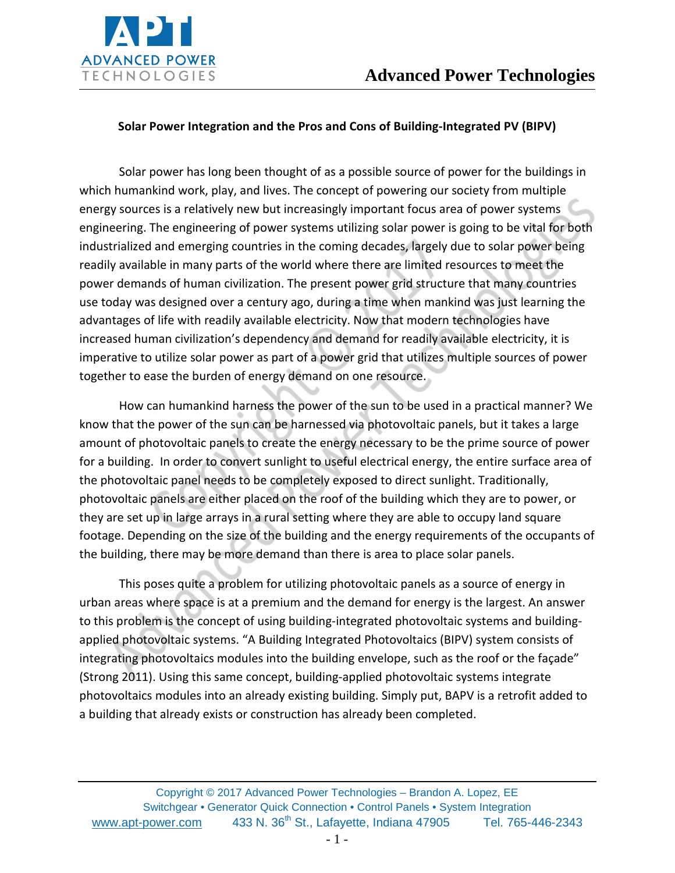

#### **Solar Power Integration and the Pros and Cons of Building-Integrated PV (BIPV)**

Solar power has long been thought of as a possible source of power for the buildings in which humankind work, play, and lives. The concept of powering our society from multiple energy sources is a relatively new but increasingly important focus area of power systems engineering. The engineering of power systems utilizing solar power is going to be vital for both industrialized and emerging countries in the coming decades, largely due to solar power being readily available in many parts of the world where there are limited resources to meet the power demands of human civilization. The present power grid structure that many countries use today was designed over a century ago, during a time when mankind was just learning the advantages of life with readily available electricity. Now that modern technologies have increased human civilization's dependency and demand for readily available electricity, it is imperative to utilize solar power as part of a power grid that utilizes multiple sources of power together to ease the burden of energy demand on one resource.

How can humankind harness the power of the sun to be used in a practical manner? We know that the power of the sun can be harnessed via photovoltaic panels, but it takes a large amount of photovoltaic panels to create the energy necessary to be the prime source of power for a building. In order to convert sunlight to useful electrical energy, the entire surface area of the photovoltaic panel needs to be completely exposed to direct sunlight. Traditionally, photovoltaic panels are either placed on the roof of the building which they are to power, or they are set up in large arrays in a rural setting where they are able to occupy land square footage. Depending on the size of the building and the energy requirements of the occupants of the building, there may be more demand than there is area to place solar panels.

This poses quite a problem for utilizing photovoltaic panels as a source of energy in urban areas where space is at a premium and the demand for energy is the largest. An answer to this problem is the concept of using building-integrated photovoltaic systems and buildingapplied photovoltaic systems. "A Building Integrated Photovoltaics (BIPV) system consists of integrating photovoltaics modules into the building envelope, such as the roof or the façade" (Strong 2011). Using this same concept, building-applied photovoltaic systems integrate photovoltaics modules into an already existing building. Simply put, BAPV is a retrofit added to a building that already exists or construction has already been completed.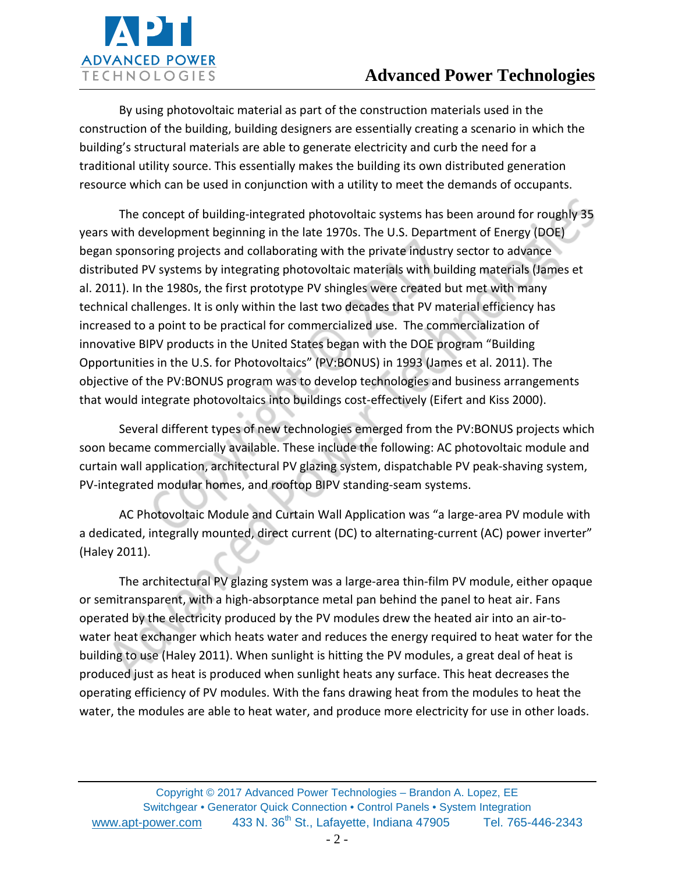

By using photovoltaic material as part of the construction materials used in the construction of the building, building designers are essentially creating a scenario in which the building's structural materials are able to generate electricity and curb the need for a traditional utility source. This essentially makes the building its own distributed generation resource which can be used in conjunction with a utility to meet the demands of occupants.

The concept of building-integrated photovoltaic systems has been around for roughly 35 years with development beginning in the late 1970s. The U.S. Department of Energy (DOE) began sponsoring projects and collaborating with the private industry sector to advance distributed PV systems by integrating photovoltaic materials with building materials (James et al. 2011). In the 1980s, the first prototype PV shingles were created but met with many technical challenges. It is only within the last two decades that PV material efficiency has increased to a point to be practical for commercialized use. The commercialization of innovative BIPV products in the United States began with the DOE program "Building Opportunities in the U.S. for Photovoltaics" (PV:BONUS) in 1993 (James et al. 2011). The objective of the PV:BONUS program was to develop technologies and business arrangements that would integrate photovoltaics into buildings cost-effectively (Eifert and Kiss 2000).

Several different types of new technologies emerged from the PV:BONUS projects which soon became commercially available. These include the following: AC photovoltaic module and curtain wall application, architectural PV glazing system, dispatchable PV peak-shaving system, PV-integrated modular homes, and rooftop BIPV standing-seam systems.

AC Photovoltaic Module and Curtain Wall Application was "a large-area PV module with a dedicated, integrally mounted, direct current (DC) to alternating-current (AC) power inverter" (Haley 2011).

The architectural PV glazing system was a large-area thin-film PV module, either opaque or semitransparent, with a high-absorptance metal pan behind the panel to heat air. Fans operated by the electricity produced by the PV modules drew the heated air into an air-towater heat exchanger which heats water and reduces the energy required to heat water for the building to use (Haley 2011). When sunlight is hitting the PV modules, a great deal of heat is produced just as heat is produced when sunlight heats any surface. This heat decreases the operating efficiency of PV modules. With the fans drawing heat from the modules to heat the water, the modules are able to heat water, and produce more electricity for use in other loads.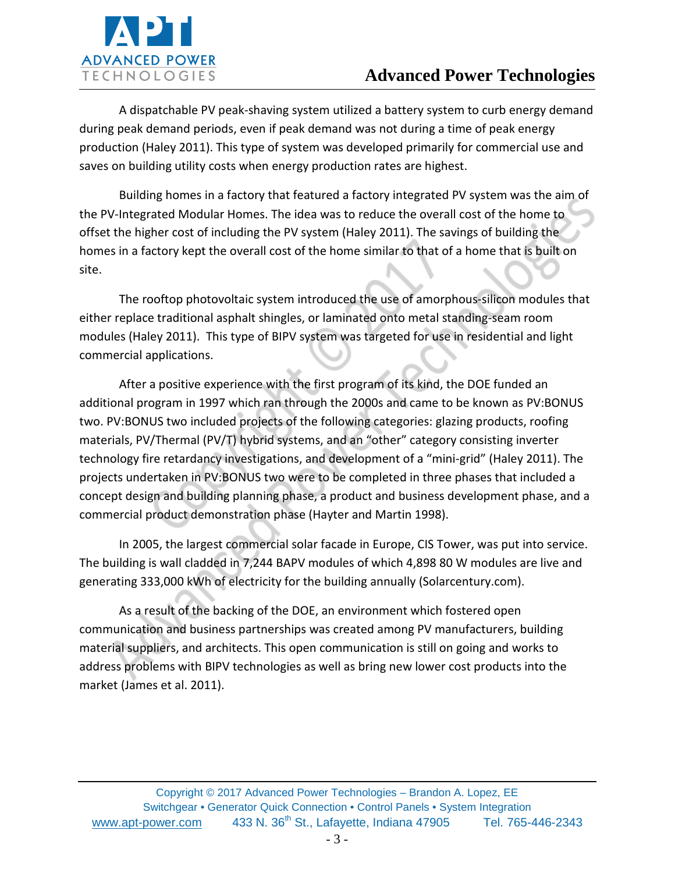

A dispatchable PV peak-shaving system utilized a battery system to curb energy demand during peak demand periods, even if peak demand was not during a time of peak energy production (Haley 2011). This type of system was developed primarily for commercial use and saves on building utility costs when energy production rates are highest.

Building homes in a factory that featured a factory integrated PV system was the aim of the PV-Integrated Modular Homes. The idea was to reduce the overall cost of the home to offset the higher cost of including the PV system (Haley 2011). The savings of building the homes in a factory kept the overall cost of the home similar to that of a home that is built on site.

The rooftop photovoltaic system introduced the use of amorphous-silicon modules that either replace traditional asphalt shingles, or laminated onto metal standing-seam room modules (Haley 2011). This type of BIPV system was targeted for use in residential and light commercial applications.

After a positive experience with the first program of its kind, the DOE funded an additional program in 1997 which ran through the 2000s and came to be known as PV:BONUS two. PV:BONUS two included projects of the following categories: glazing products, roofing materials, PV/Thermal (PV/T) hybrid systems, and an "other" category consisting inverter technology fire retardancy investigations, and development of a "mini-grid" (Haley 2011). The projects undertaken in PV:BONUS two were to be completed in three phases that included a concept design and building planning phase, a product and business development phase, and a commercial product demonstration phase (Hayter and Martin 1998).

In 2005, the largest commercial solar facade in Europe, CIS Tower, was put into service. The building is wall cladded in 7,244 BAPV modules of which 4,898 80 W modules are live and generating 333,000 kWh of electricity for the building annually (Solarcentury.com).

As a result of the backing of the DOE, an environment which fostered open communication and business partnerships was created among PV manufacturers, building material suppliers, and architects. This open communication is still on going and works to address problems with BIPV technologies as well as bring new lower cost products into the market (James et al. 2011).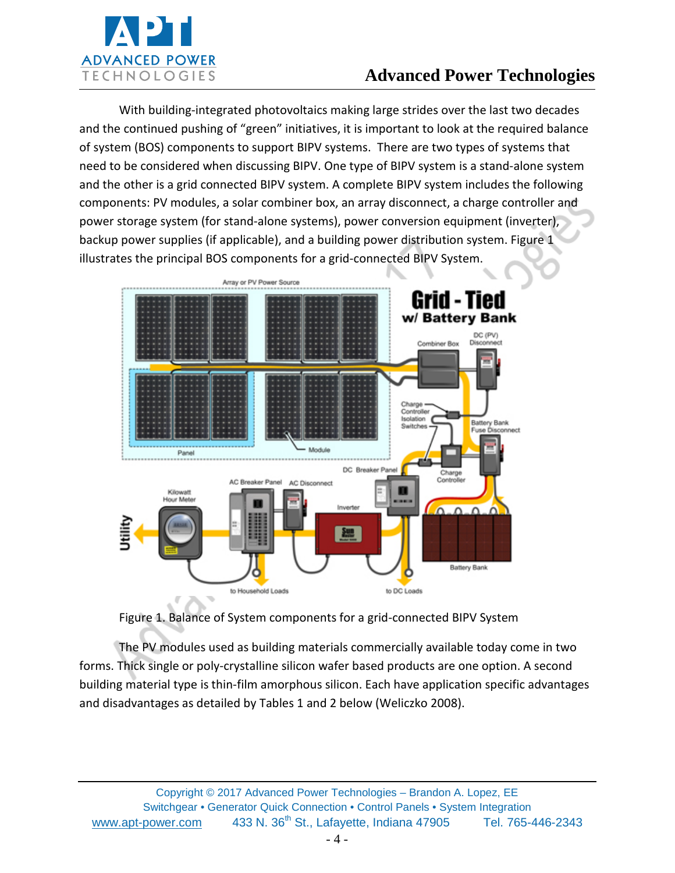

With building-integrated photovoltaics making large strides over the last two decades and the continued pushing of "green" initiatives, it is important to look at the required balance of system (BOS) components to support BIPV systems. There are two types of systems that need to be considered when discussing BIPV. One type of BIPV system is a stand-alone system and the other is a grid connected BIPV system. A complete BIPV system includes the following components: PV modules, a solar combiner box, an array disconnect, a charge controller and power storage system (for stand-alone systems), power conversion equipment (inverter), backup power supplies (if applicable), and a building power distribution system. Figure 1 illustrates the principal BOS components for a grid-connected BIPV System.





The PV modules used as building materials commercially available today come in two forms. Thick single or poly-crystalline silicon wafer based products are one option. A second building material type is thin-film amorphous silicon. Each have application specific advantages and disadvantages as detailed by Tables 1 and 2 below (Weliczko 2008).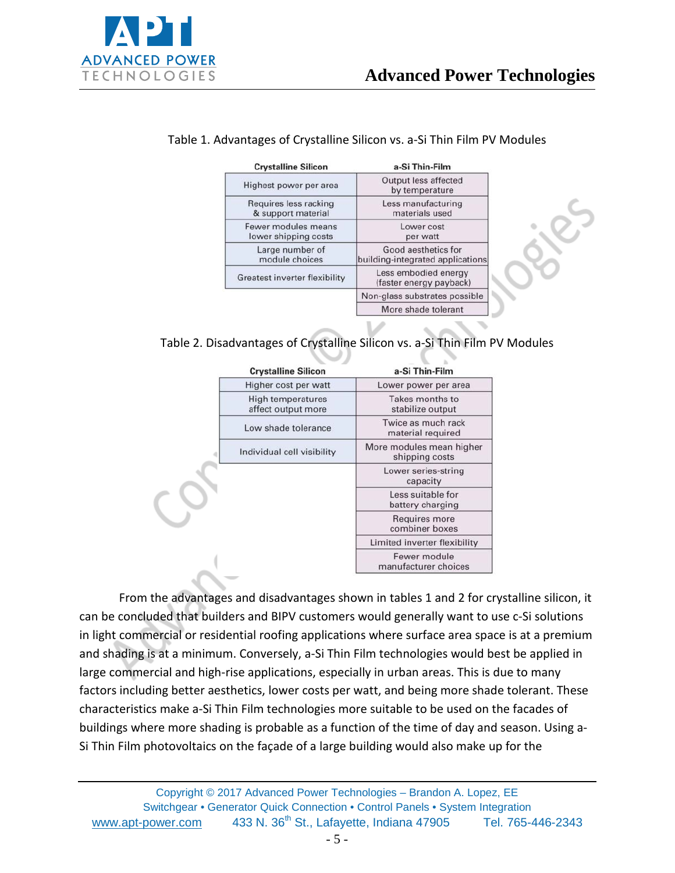

| <b>Crystalline Silicon</b>                  | a-Si Thin-Film                                          |
|---------------------------------------------|---------------------------------------------------------|
| Highest power per area                      | <b>Output less affected</b><br>by temperature           |
| Requires less racking<br>& support material | Less manufacturing<br>materials used                    |
| Fewer modules means<br>lower shipping costs | Lower cost<br>per watt                                  |
| Large number of<br>module choices           | Good aesthetics for<br>building-integrated applications |
| <b>Greatest inverter flexibility</b>        | Less embodied energy<br>(faster energy payback)         |
|                                             | Non-glass substrates possible                           |
|                                             | More shade tolerant                                     |

#### Table 1. Advantages of Crystalline Silicon vs. a-Si Thin Film PV Modules

Table 2. Disadvantages of Crystalline Silicon vs. a-Si Thin Film PV Modules

|  | <b>Crystalline Silicon</b>                     | a-Si Thin-Film                             |
|--|------------------------------------------------|--------------------------------------------|
|  | Higher cost per watt                           | Lower power per area                       |
|  | <b>High temperatures</b><br>affect output more | Takes months to<br>stabilize output        |
|  | Low shade tolerance                            | Twice as much rack<br>material required    |
|  | Individual cell visibility                     | More modules mean higher<br>shipping costs |
|  |                                                | Lower series-string<br>capacity            |
|  | Less suitable for<br>battery charging          |                                            |
|  |                                                | Requires more<br>combiner boxes            |
|  |                                                | Limited inverter flexibility               |
|  |                                                | Fewer module<br>manufacturer choices       |

From the advantages and disadvantages shown in tables 1 and 2 for crystalline silicon, it can be concluded that builders and BIPV customers would generally want to use c-Si solutions in light commercial or residential roofing applications where surface area space is at a premium and shading is at a minimum. Conversely, a-Si Thin Film technologies would best be applied in large commercial and high-rise applications, especially in urban areas. This is due to many factors including better aesthetics, lower costs per watt, and being more shade tolerant. These characteristics make a-Si Thin Film technologies more suitable to be used on the facades of buildings where more shading is probable as a function of the time of day and season. Using a-Si Thin Film photovoltaics on the façade of a large building would also make up for the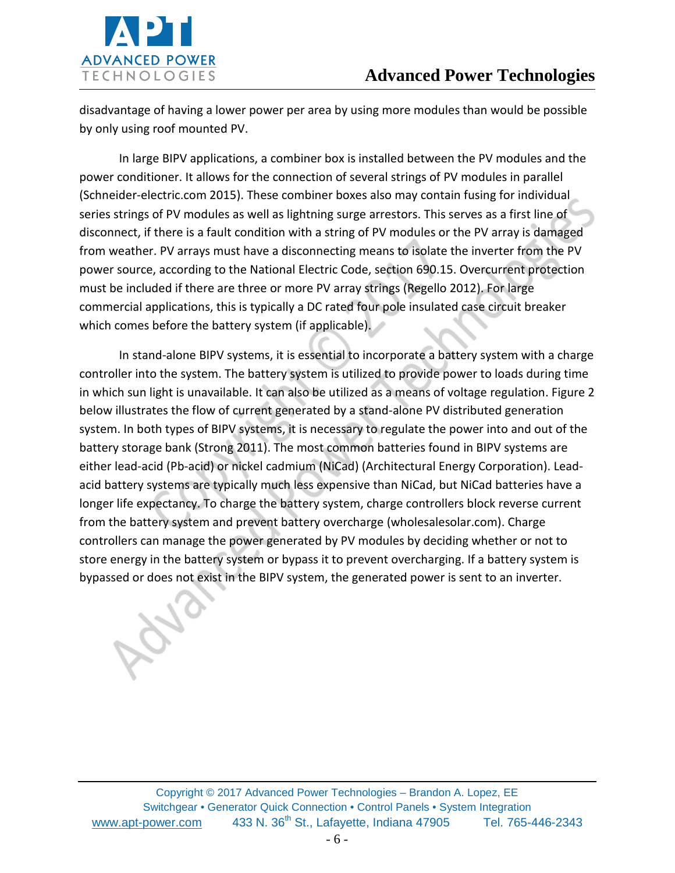

disadvantage of having a lower power per area by using more modules than would be possible by only using roof mounted PV.

In large BIPV applications, a combiner box is installed between the PV modules and the power conditioner. It allows for the connection of several strings of PV modules in parallel (Schneider-electric.com 2015). These combiner boxes also may contain fusing for individual series strings of PV modules as well as lightning surge arrestors. This serves as a first line of disconnect, if there is a fault condition with a string of PV modules or the PV array is damaged from weather. PV arrays must have a disconnecting means to isolate the inverter from the PV power source, according to the National Electric Code, section 690.15. Overcurrent protection must be included if there are three or more PV array strings (Regello 2012). For large commercial applications, this is typically a DC rated four pole insulated case circuit breaker which comes before the battery system (if applicable).

In stand-alone BIPV systems, it is essential to incorporate a battery system with a charge controller into the system. The battery system is utilized to provide power to loads during time in which sun light is unavailable. It can also be utilized as a means of voltage regulation. Figure 2 below illustrates the flow of current generated by a stand-alone PV distributed generation system. In both types of BIPV systems, it is necessary to regulate the power into and out of the battery storage bank (Strong 2011). The most common batteries found in BIPV systems are either lead-acid (Pb-acid) or nickel cadmium (NiCad) (Architectural Energy Corporation). Leadacid battery systems are typically much less expensive than NiCad, but NiCad batteries have a longer life expectancy. To charge the battery system, charge controllers block reverse current from the battery system and prevent battery overcharge (wholesalesolar.com). Charge controllers can manage the power generated by PV modules by deciding whether or not to store energy in the battery system or bypass it to prevent overcharging. If a battery system is bypassed or does not exist in the BIPV system, the generated power is sent to an inverter.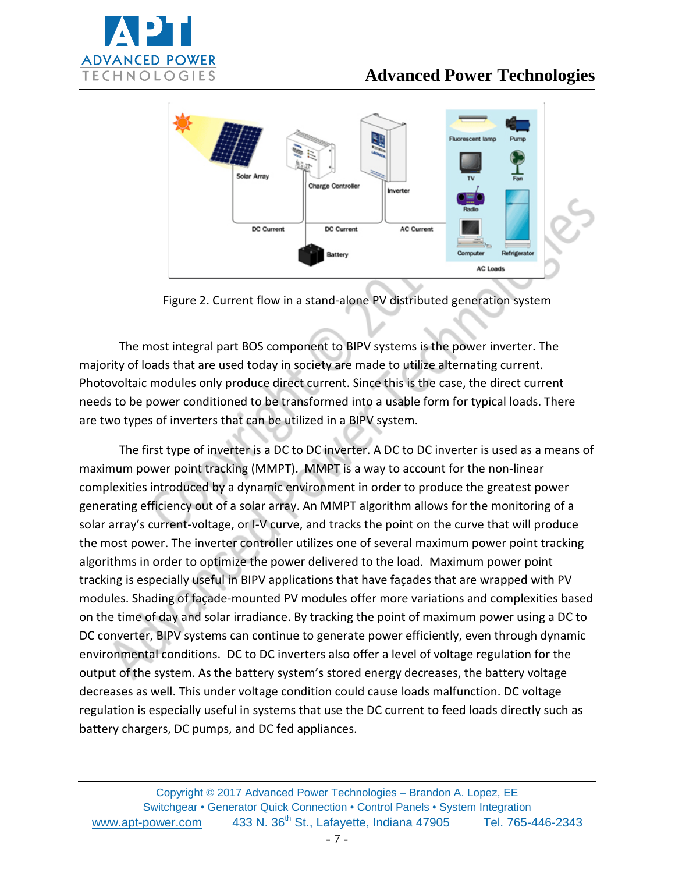



Figure 2. Current flow in a stand-alone PV distributed generation system

The most integral part BOS component to BIPV systems is the power inverter. The majority of loads that are used today in society are made to utilize alternating current. Photovoltaic modules only produce direct current. Since this is the case, the direct current needs to be power conditioned to be transformed into a usable form for typical loads. There are two types of inverters that can be utilized in a BIPV system.

The first type of inverter is a DC to DC inverter. A DC to DC inverter is used as a means of maximum power point tracking (MMPT). MMPT is a way to account for the non-linear complexities introduced by a dynamic environment in order to produce the greatest power generating efficiency out of a solar array. An MMPT algorithm allows for the monitoring of a solar array's current-voltage, or I-V curve, and tracks the point on the curve that will produce the most power. The inverter controller utilizes one of several maximum power point tracking algorithms in order to optimize the power delivered to the load. Maximum power point tracking is especially useful in BIPV applications that have façades that are wrapped with PV modules. Shading of façade-mounted PV modules offer more variations and complexities based on the time of day and solar irradiance. By tracking the point of maximum power using a DC to DC converter, BIPV systems can continue to generate power efficiently, even through dynamic environmental conditions. DC to DC inverters also offer a level of voltage regulation for the output of the system. As the battery system's stored energy decreases, the battery voltage decreases as well. This under voltage condition could cause loads malfunction. DC voltage regulation is especially useful in systems that use the DC current to feed loads directly such as battery chargers, DC pumps, and DC fed appliances.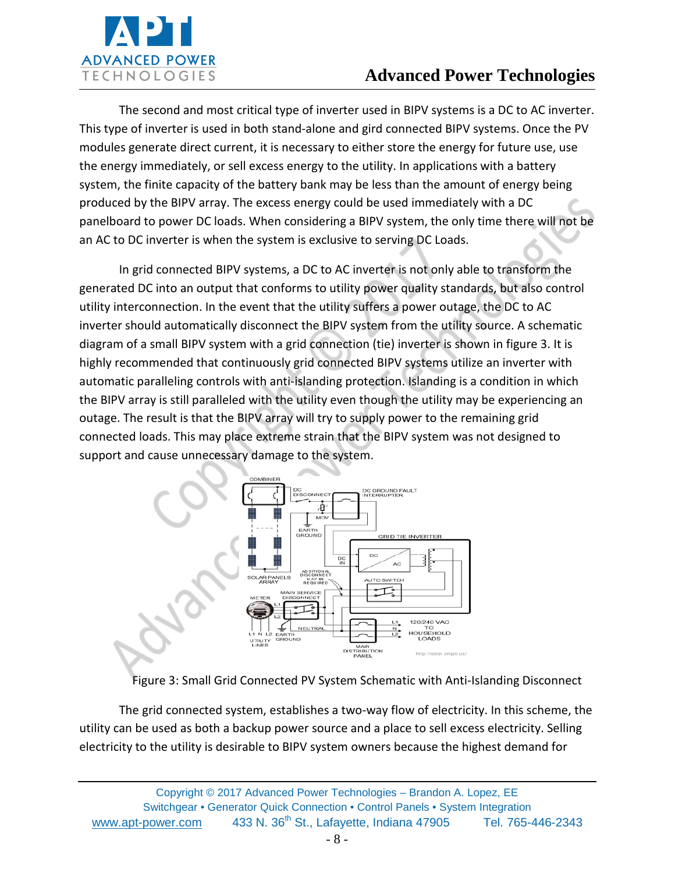

The second and most critical type of inverter used in BIPV systems is a DC to AC inverter. This type of inverter is used in both stand-alone and gird connected BIPV systems. Once the PV modules generate direct current, it is necessary to either store the energy for future use, use the energy immediately, or sell excess energy to the utility. In applications with a battery system, the finite capacity of the battery bank may be less than the amount of energy being produced by the BIPV array. The excess energy could be used immediately with a DC panelboard to power DC loads. When considering a BIPV system, the only time there will not be an AC to DC inverter is when the system is exclusive to serving DC Loads.

In grid connected BIPV systems, a DC to AC inverter is not only able to transform the generated DC into an output that conforms to utility power quality standards, but also control utility interconnection. In the event that the utility suffers a power outage, the DC to AC inverter should automatically disconnect the BIPV system from the utility source. A schematic diagram of a small BIPV system with a grid connection (tie) inverter is shown in figure 3. It is highly recommended that continuously grid connected BIPV systems utilize an inverter with automatic paralleling controls with anti-islanding protection. Islanding is a condition in which the BIPV array is still paralleled with the utility even though the utility may be experiencing an outage. The result is that the BIPV array will try to supply power to the remaining grid connected loads. This may place extreme strain that the BIPV system was not designed to support and cause unnecessary damage to the system.



Figure 3: Small Grid Connected PV System Schematic with Anti-Islanding Disconnect

The grid connected system, establishes a two-way flow of electricity. In this scheme, the utility can be used as both a backup power source and a place to sell excess electricity. Selling electricity to the utility is desirable to BIPV system owners because the highest demand for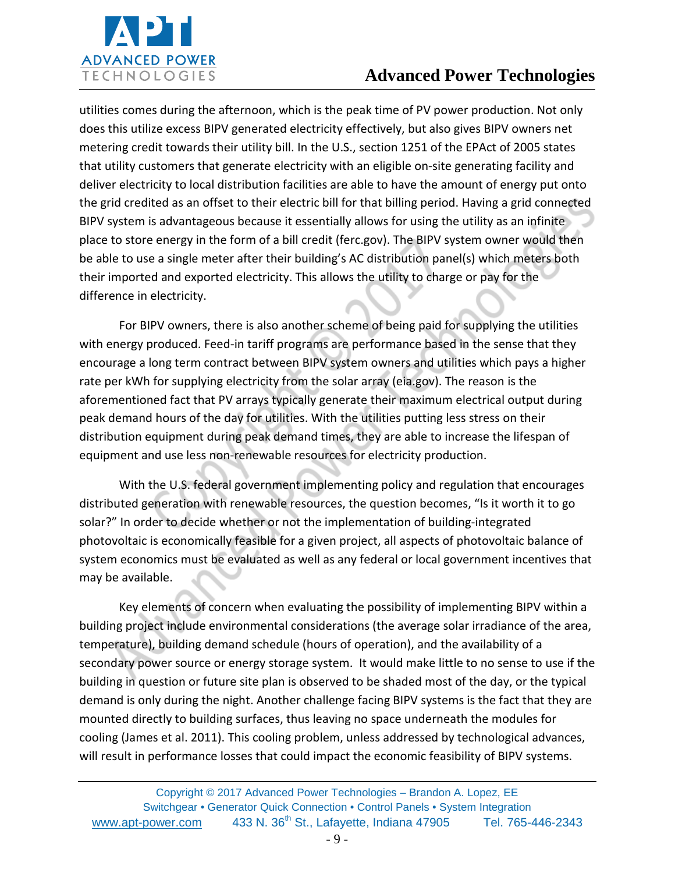

utilities comes during the afternoon, which is the peak time of PV power production. Not only does this utilize excess BIPV generated electricity effectively, but also gives BIPV owners net metering credit towards their utility bill. In the U.S., section 1251 of the EPAct of 2005 states that utility customers that generate electricity with an eligible on-site generating facility and deliver electricity to local distribution facilities are able to have the amount of energy put onto the grid credited as an offset to their electric bill for that billing period. Having a grid connected BIPV system is advantageous because it essentially allows for using the utility as an infinite place to store energy in the form of a bill credit (ferc.gov). The BIPV system owner would then be able to use a single meter after their building's AC distribution panel(s) which meters both their imported and exported electricity. This allows the utility to charge or pay for the difference in electricity.

For BIPV owners, there is also another scheme of being paid for supplying the utilities with energy produced. Feed-in tariff programs are performance based in the sense that they encourage a long term contract between BIPV system owners and utilities which pays a higher rate per kWh for supplying electricity from the solar array (eia.gov). The reason is the aforementioned fact that PV arrays typically generate their maximum electrical output during peak demand hours of the day for utilities. With the utilities putting less stress on their distribution equipment during peak demand times, they are able to increase the lifespan of equipment and use less non-renewable resources for electricity production.

With the U.S. federal government implementing policy and regulation that encourages distributed generation with renewable resources, the question becomes, "Is it worth it to go solar?" In order to decide whether or not the implementation of building-integrated photovoltaic is economically feasible for a given project, all aspects of photovoltaic balance of system economics must be evaluated as well as any federal or local government incentives that may be available.

Key elements of concern when evaluating the possibility of implementing BIPV within a building project include environmental considerations (the average solar irradiance of the area, temperature), building demand schedule (hours of operation), and the availability of a secondary power source or energy storage system. It would make little to no sense to use if the building in question or future site plan is observed to be shaded most of the day, or the typical demand is only during the night. Another challenge facing BIPV systems is the fact that they are mounted directly to building surfaces, thus leaving no space underneath the modules for cooling (James et al. 2011). This cooling problem, unless addressed by technological advances, will result in performance losses that could impact the economic feasibility of BIPV systems.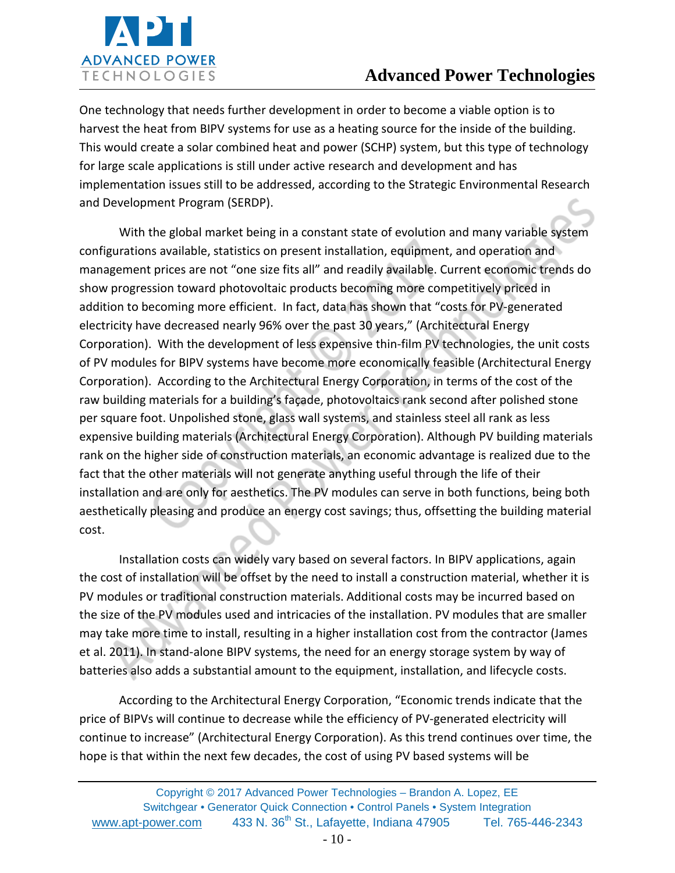

One technology that needs further development in order to become a viable option is to harvest the heat from BIPV systems for use as a heating source for the inside of the building. This would create a solar combined heat and power (SCHP) system, but this type of technology for large scale applications is still under active research and development and has implementation issues still to be addressed, according to the Strategic Environmental Research and Development Program (SERDP).

With the global market being in a constant state of evolution and many variable system configurations available, statistics on present installation, equipment, and operation and management prices are not "one size fits all" and readily available. Current economic trends do show progression toward photovoltaic products becoming more competitively priced in addition to becoming more efficient. In fact, data has shown that "costs for PV-generated electricity have decreased nearly 96% over the past 30 years," (Architectural Energy Corporation). With the development of less expensive thin-film PV technologies, the unit costs of PV modules for BIPV systems have become more economically feasible (Architectural Energy Corporation). According to the Architectural Energy Corporation, in terms of the cost of the raw building materials for a building's façade, photovoltaics rank second after polished stone per square foot. Unpolished stone, glass wall systems, and stainless steel all rank as less expensive building materials (Architectural Energy Corporation). Although PV building materials rank on the higher side of construction materials, an economic advantage is realized due to the fact that the other materials will not generate anything useful through the life of their installation and are only for aesthetics. The PV modules can serve in both functions, being both aesthetically pleasing and produce an energy cost savings; thus, offsetting the building material cost.

Installation costs can widely vary based on several factors. In BIPV applications, again the cost of installation will be offset by the need to install a construction material, whether it is PV modules or traditional construction materials. Additional costs may be incurred based on the size of the PV modules used and intricacies of the installation. PV modules that are smaller may take more time to install, resulting in a higher installation cost from the contractor (James et al. 2011). In stand-alone BIPV systems, the need for an energy storage system by way of batteries also adds a substantial amount to the equipment, installation, and lifecycle costs.

According to the Architectural Energy Corporation, "Economic trends indicate that the price of BIPVs will continue to decrease while the efficiency of PV-generated electricity will continue to increase" (Architectural Energy Corporation). As this trend continues over time, the hope is that within the next few decades, the cost of using PV based systems will be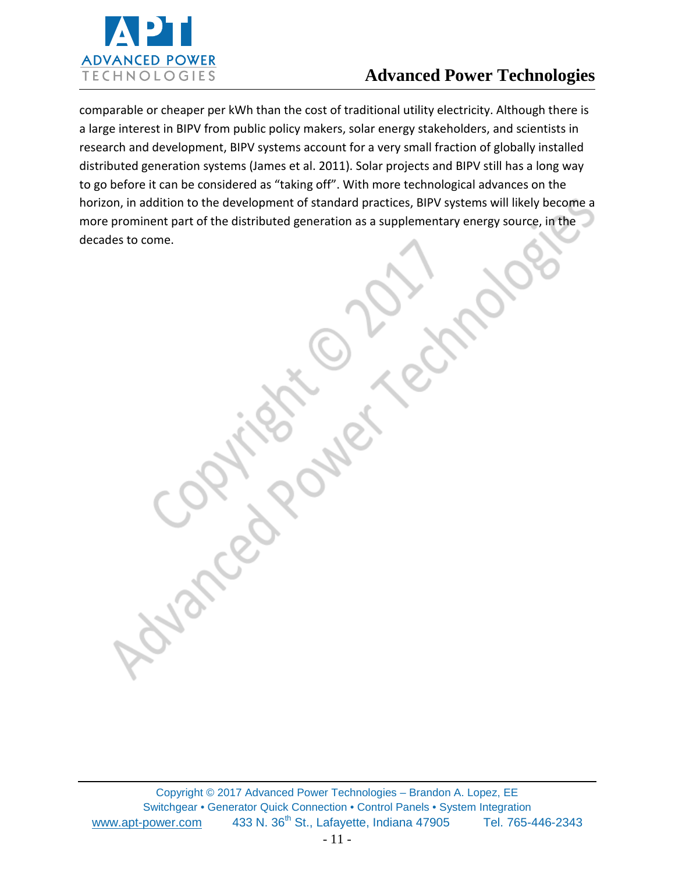

comparable or cheaper per kWh than the cost of traditional utility electricity. Although there is a large interest in BIPV from public policy makers, solar energy stakeholders, and scientists in research and development, BIPV systems account for a very small fraction of globally installed distributed generation systems (James et al. 2011). Solar projects and BIPV still has a long way to go before it can be considered as "taking off". With more technological advances on the horizon, in addition to the development of standard practices, BIPV systems will likely become a more prominent part of the distributed generation as a supplementary energy source, in the decades to come.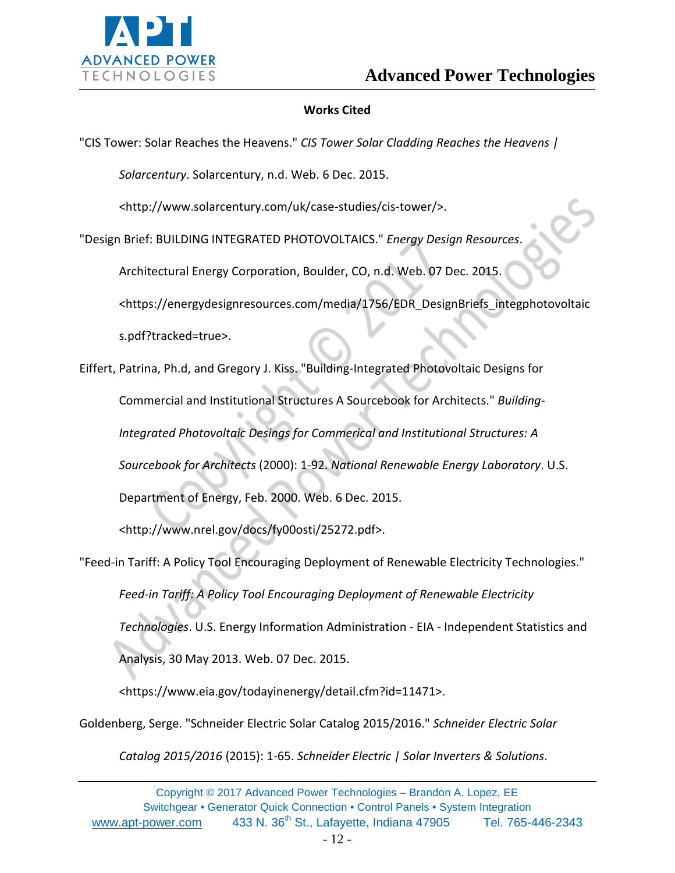

#### **Works Cited**

"CIS Tower: Solar Reaches the Heavens." *CIS Tower Solar Cladding Reaches the Heavens |* 

*Solarcentury*. Solarcentury, n.d. Web. 6 Dec. 2015.

<http://www.solarcentury.com/uk/case-studies/cis-tower/>.

"Design Brief: BUILDING INTEGRATED PHOTOVOLTAICS." *Energy Design Resources*.

Architectural Energy Corporation, Boulder, CO, n.d. Web. 07 Dec. 2015.

<https://energydesignresources.com/media/1756/EDR\_DesignBriefs\_integphotovoltaic

s.pdf?tracked=true>.

Eiffert, Patrina, Ph.d, and Gregory J. Kiss. "Building-Integrated Photovoltaic Designs for Commercial and Institutional Structures A Sourcebook for Architects." *Building-Integrated Photovoltaic Desings for Commerical and Institutional Structures: A Sourcebook for Architects* (2000): 1-92. *National Renewable Energy Laboratory*. U.S. Department of Energy, Feb. 2000. Web. 6 Dec. 2015.

<http://www.nrel.gov/docs/fy00osti/25272.pdf>.

"Feed-in Tariff: A Policy Tool Encouraging Deployment of Renewable Electricity Technologies." *Feed-in Tariff: A Policy Tool Encouraging Deployment of Renewable Electricity Technologies*. U.S. Energy Information Administration - EIA - Independent Statistics and Analysis, 30 May 2013. Web. 07 Dec. 2015.

<https://www.eia.gov/todayinenergy/detail.cfm?id=11471>.

Goldenberg, Serge. "Schneider Electric Solar Catalog 2015/2016." *Schneider Electric Solar* 

*Catalog 2015/2016* (2015): 1-65. *Schneider Electric | Solar Inverters & Solutions*.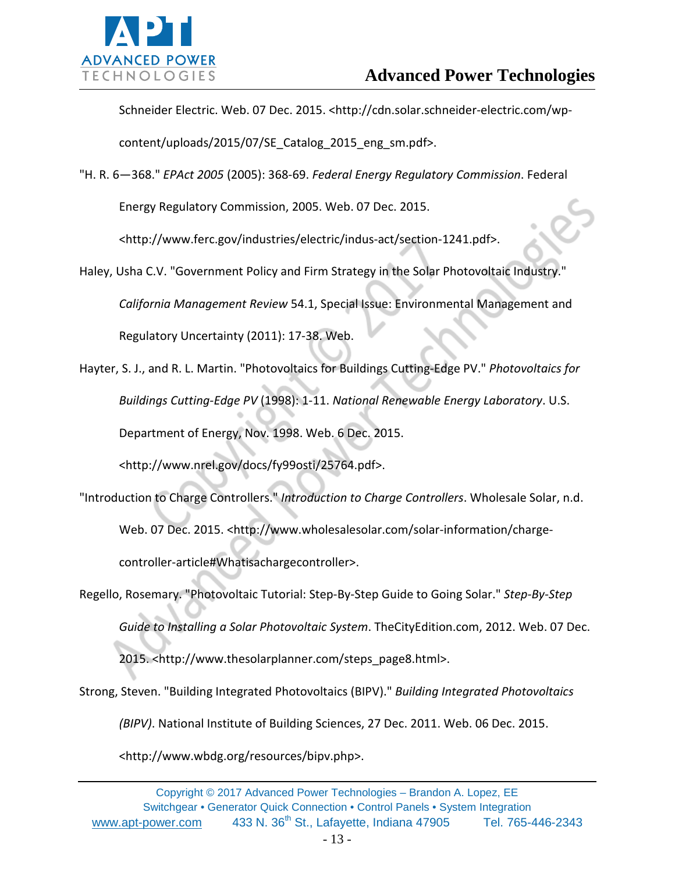

Schneider Electric. Web. 07 Dec. 2015. <http://cdn.solar.schneider-electric.com/wp-

content/uploads/2015/07/SE\_Catalog\_2015\_eng\_sm.pdf>.

"H. R. 6—368." *EPAct 2005* (2005): 368-69. *Federal Energy Regulatory Commission*. Federal

Energy Regulatory Commission, 2005. Web. 07 Dec. 2015.

<http://www.ferc.gov/industries/electric/indus-act/section-1241.pdf>.

Haley, Usha C.V. "Government Policy and Firm Strategy in the Solar Photovoltaic Industry." *California Management Review* 54.1, Special Issue: Environmental Management and Regulatory Uncertainty (2011): 17-38. Web.

Hayter, S. J., and R. L. Martin. "Photovoltaics for Buildings Cutting-Edge PV." *Photovoltaics for Buildings Cutting-Edge PV* (1998): 1-11. *National Renewable Energy Laboratory*. U.S. Department of Energy, Nov. 1998. Web. 6 Dec. 2015.

<http://www.nrel.gov/docs/fy99osti/25764.pdf>.

- "Introduction to Charge Controllers." *Introduction to Charge Controllers*. Wholesale Solar, n.d. Web. 07 Dec. 2015. <http://www.wholesalesolar.com/solar-information/chargecontroller-article#Whatisachargecontroller>.
- Regello, Rosemary. "Photovoltaic Tutorial: Step-By-Step Guide to Going Solar." *Step-By-Step Guide to Installing a Solar Photovoltaic System*. TheCityEdition.com, 2012. Web. 07 Dec.

2015. <http://www.thesolarplanner.com/steps\_page8.html>.

Strong, Steven. "Building Integrated Photovoltaics (BIPV)." *Building Integrated Photovoltaics (BIPV)*. National Institute of Building Sciences, 27 Dec. 2011. Web. 06 Dec. 2015.

<http://www.wbdg.org/resources/bipv.php>.